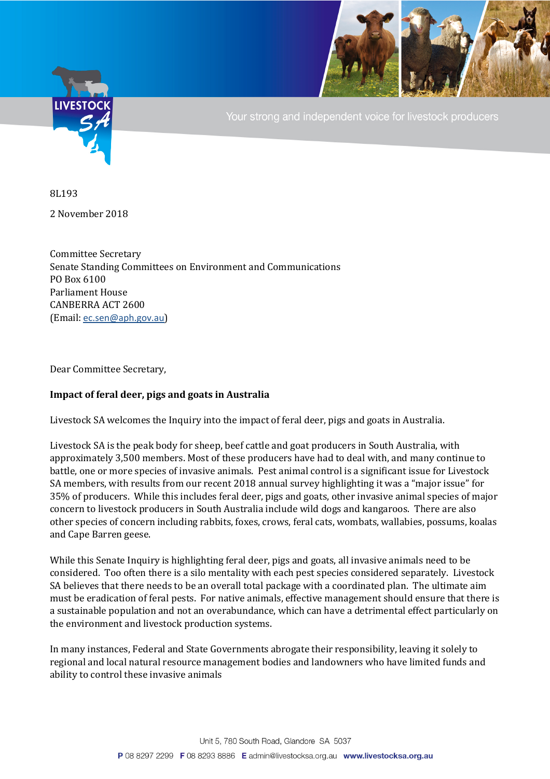

Your strong and independent voice for livestock producers

8L193

2 November 2018

Committee Secretary Senate Standing Committees on Environment and Communications PO Box 6100 Parliament House CANBERRA ACT 2600 (Email: [ec.sen@aph.gov.au](mailto:ec.sen@aph.gov.au))

Dear Committee Secretary,

## **Impact of feral deer, pigs and goats in Australia**

Livestock SA welcomes the Inquiry into the impact of feral deer, pigs and goats in Australia.

Livestock SA is the peak body for sheep, beef cattle and goat producers in South Australia, with approximately 3,500 members. Most of these producers have had to deal with, and many continue to battle, one or more species of invasive animals. Pest animal control is a significant issue for Livestock SA members, with results from our recent 2018 annual survey highlighting it was a "major issue" for 35% of producers. While this includes feral deer, pigs and goats, other invasive animal species of major concern to livestock producers in South Australia include wild dogs and kangaroos. There are also other species of concern including rabbits, foxes, crows, feral cats, wombats, wallabies, possums, koalas and Cape Barren geese.

While this Senate Inquiry is highlighting feral deer, pigs and goats, all invasive animals need to be considered. Too often there is a silo mentality with each pest species considered separately. Livestock SA believes that there needs to be an overall total package with a coordinated plan. The ultimate aim must be eradication of feral pests. For native animals, effective management should ensure that there is a sustainable population and not an overabundance, which can have a detrimental effect particularly on the environment and livestock production systems.

In many instances, Federal and State Governments abrogate their responsibility, leaving it solely to regional and local natural resource management bodies and landowners who have limited funds and ability to control these invasive animals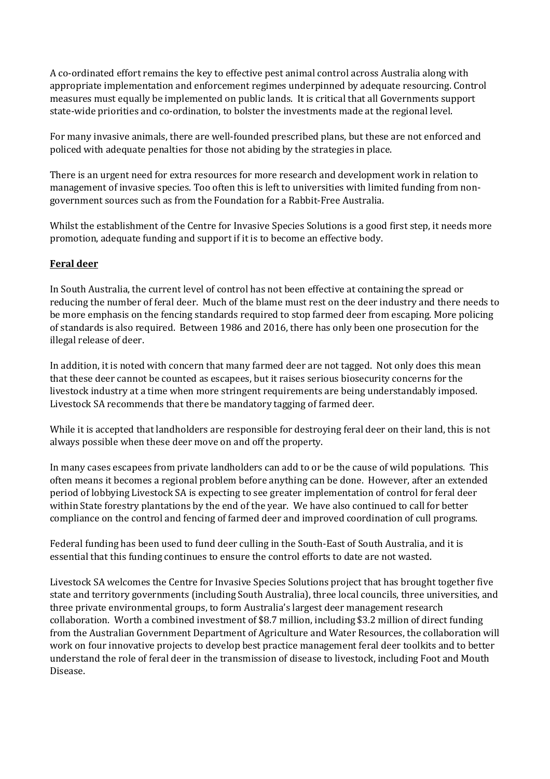A co-ordinated effort remains the key to effective pest animal control across Australia along with appropriate implementation and enforcement regimes underpinned by adequate resourcing. Control measures must equally be implemented on public lands. It is critical that all Governments support state-wide priorities and co-ordination, to bolster the investments made at the regional level.

For many invasive animals, there are well-founded prescribed plans, but these are not enforced and policed with adequate penalties for those not abiding by the strategies in place.

There is an urgent need for extra resources for more research and development work in relation to management of invasive species. Too often this is left to universities with limited funding from nongovernment sources such as from the Foundation for a Rabbit-Free Australia.

Whilst the establishment of the Centre for Invasive Species Solutions is a good first step, it needs more promotion, adequate funding and support if it is to become an effective body.

## **Feral deer**

In South Australia, the current level of control has not been effective at containing the spread or reducing the number of feral deer. Much of the blame must rest on the deer industry and there needs to be more emphasis on the fencing standards required to stop farmed deer from escaping. More policing of standards is also required. Between 1986 and 2016, there has only been one prosecution for the illegal release of deer.

In addition, it is noted with concern that many farmed deer are not tagged. Not only does this mean that these deer cannot be counted as escapees, but it raises serious biosecurity concerns for the livestock industry at a time when more stringent requirements are being understandably imposed. Livestock SA recommends that there be mandatory tagging of farmed deer.

While it is accepted that landholders are responsible for destroying feral deer on their land, this is not always possible when these deer move on and off the property.

In many cases escapees from private landholders can add to or be the cause of wild populations. This often means it becomes a regional problem before anything can be done. However, after an extended period of lobbying Livestock SA is expecting to see greater implementation of control for feral deer within State forestry plantations by the end of the year. We have also continued to call for better compliance on the control and fencing of farmed deer and improved coordination of cull programs.

Federal funding has been used to fund deer culling in the South-East of South Australia, and it is essential that this funding continues to ensure the control efforts to date are not wasted.

Livestock SA welcomes the Centre for Invasive Species Solutions project that has brought together five state and territory governments (including South Australia), three local councils, three universities, and three private environmental groups, to form Australia's largest deer management research collaboration. Worth a combined investment of \$8.7 million, including \$3.2 million of direct funding from the Australian Government Department of Agriculture and Water Resources, the collaboration will work on four innovative projects to develop best practice management feral deer toolkits and to better understand the role of feral deer in the transmission of disease to livestock, including Foot and Mouth Disease.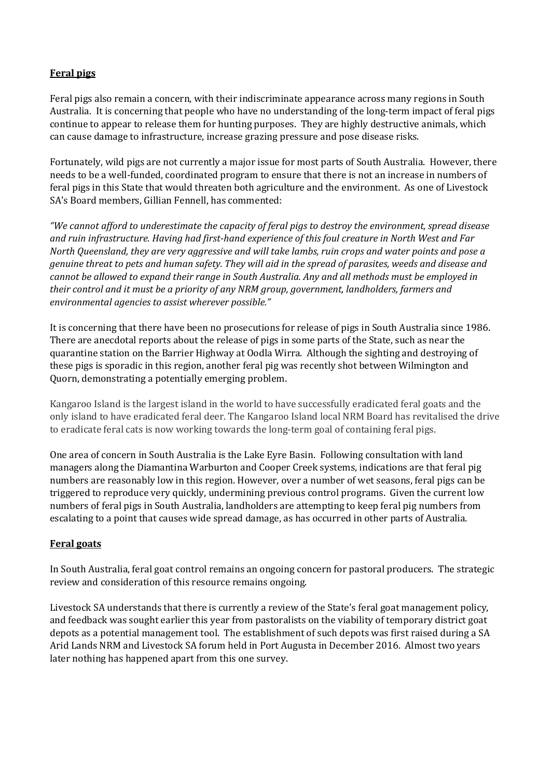## **Feral pigs**

Feral pigs also remain a concern, with their indiscriminate appearance across many regions in South Australia. It is concerning that people who have no understanding of the long-term impact of feral pigs continue to appear to release them for hunting purposes. They are highly destructive animals, which can cause damage to infrastructure, increase grazing pressure and pose disease risks.

Fortunately, wild pigs are not currently a major issue for most parts of South Australia. However, there needs to be a well-funded, coordinated program to ensure that there is not an increase in numbers of feral pigs in this State that would threaten both agriculture and the environment. As one of Livestock SA's Board members, Gillian Fennell, has commented:

*"We cannot afford to underestimate the capacity of feral pigs to destroy the environment, spread disease and ruin infrastructure. Having had first-hand experience of this foul creature in North West and Far North Queensland, they are very aggressive and will take lambs, ruin crops and water points and pose a genuine threat to pets and human safety. They will aid in the spread of parasites, weeds and disease and cannot be allowed to expand their range in South Australia. Any and all methods must be employed in their control and it must be a priority of any NRM group, government, landholders, farmers and environmental agencies to assist wherever possible."*

It is concerning that there have been no prosecutions for release of pigs in South Australia since 1986. There are anecdotal reports about the release of pigs in some parts of the State, such as near the quarantine station on the Barrier Highway at Oodla Wirra. Although the sighting and destroying of these pigs is sporadic in this region, another feral pig was recently shot between Wilmington and Quorn, demonstrating a potentially emerging problem.

Kangaroo Island is the largest island in the world to have successfully eradicated feral goats and the only island to have eradicated feral deer. The Kangaroo Island local NRM Board has revitalised the drive to eradicate feral cats is now working towards the long-term goal of containing feral pigs.

One area of concern in South Australia is the Lake Eyre Basin. Following consultation with land managers along the Diamantina Warburton and Cooper Creek systems, indications are that feral pig numbers are reasonably low in this region. However, over a number of wet seasons, feral pigs can be triggered to reproduce very quickly, undermining previous control programs. Given the current low numbers of feral pigs in South Australia, landholders are attempting to keep feral pig numbers from escalating to a point that causes wide spread damage, as has occurred in other parts of Australia.

## **Feral goats**

In South Australia, feral goat control remains an ongoing concern for pastoral producers. The strategic review and consideration of this resource remains ongoing.

Livestock SA understands that there is currently a review of the State's feral goat management policy, and feedback was sought earlier this year from pastoralists on the viability of temporary district goat depots as a potential management tool. The establishment of such depots was first raised during a SA Arid Lands NRM and Livestock SA forum held in Port Augusta in December 2016. Almost two years later nothing has happened apart from this one survey.